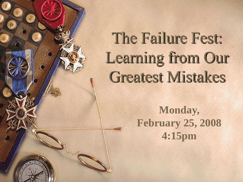### The Failure Fest: Learning from Our Greatest Mistakes

**Monday, February 25, 2008 4:15pm**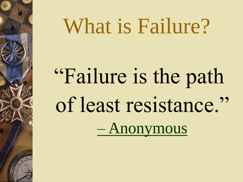## What is Failure?

# "Failure is the path of least resistance." – [Anonymous](ACCE and CCCEOA Stuff/Failure Folder/ALARM_CLOCK_PROBLEM.wmv)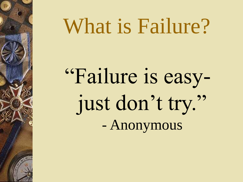## What is Failure?

"Failure is easyjust don't try." - Anonymous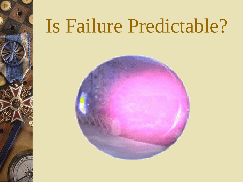## Is Failure Predictable?

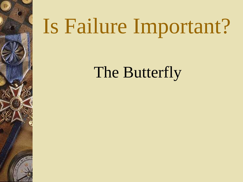# Is Failure Important?

The Butterfly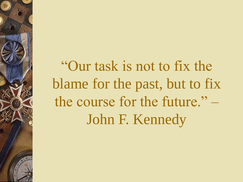"Our task is not to fix the blame for the past, but to fix the course for the future." – John F. Kennedy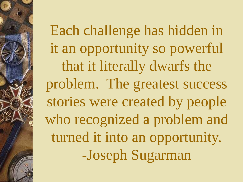Each challenge has hidden in it an opportunity so powerful that it literally dwarfs the problem. The greatest success stories were created by people who recognized a problem and turned it into an opportunity. -Joseph Sugarman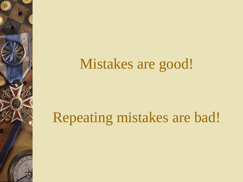#### Mistakes are good!

#### Repeating mistakes are bad!

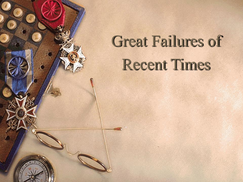## Great Failures of Recent Times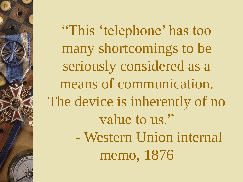"This 'telephone' has too many shortcomings to be seriously considered as a means of communication. The device is inherently of no value to us." - Western Union internal memo, 1876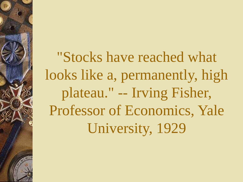"Stocks have reached what looks like a, permanently, high plateau." -- Irving Fisher, Professor of Economics, Yale University, 1929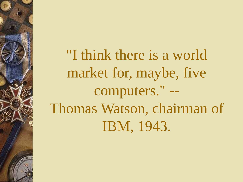"I think there is a world market for, maybe, five computers." -- Thomas Watson, chairman of IBM, 1943.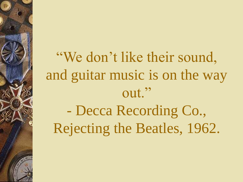"We don't like their sound, and guitar music is on the way out." - Decca Recording Co., Rejecting the Beatles, 1962.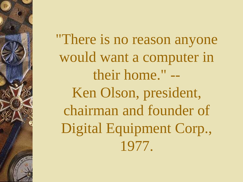"There is no reason anyone would want a computer in their home." -- Ken Olson, president, chairman and founder of Digital Equipment Corp., 1977.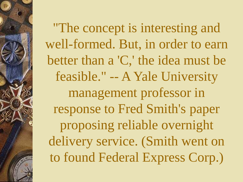"The concept is interesting and well-formed. But, in order to earn better than a 'C,' the idea must be feasible." -- A Yale University management professor in response to Fred Smith's paper proposing reliable overnight delivery service. (Smith went on to found Federal Express Corp.)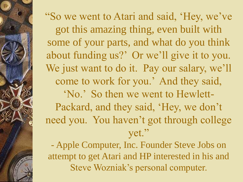"So we went to Atari and said, 'Hey, we've got this amazing thing, even built with some of your parts, and what do you think about funding us?' Or we'll give it to you. We just want to do it. Pay our salary, we'll come to work for you.' And they said, 'No.' So then we went to Hewlett-Packard, and they said, 'Hey, we don't need you. You haven't got through college yet." - Apple Computer, Inc. Founder Steve Jobs on attempt to get Atari and HP interested in his and

Steve Wozniak's personal computer.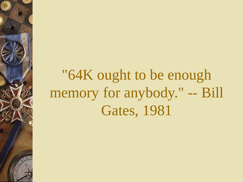#### "64K ought to be enough memory for anybody." -- Bill Gates, 1981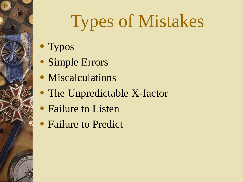## Types of Mistakes

- Typos
- Simple Errors
- Miscalculations
- The Unpredictable X-factor
- ◆ Failure to Listen
- Failure to Predict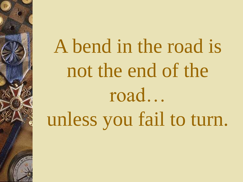A bend in the road is not the end of the road… unless you fail to turn.